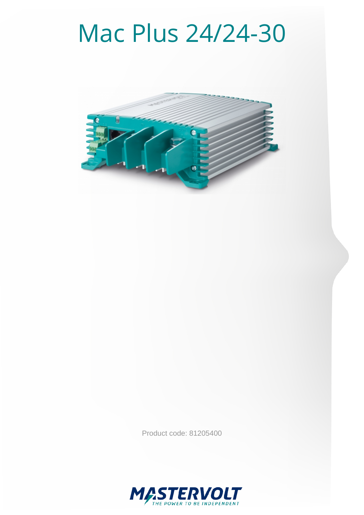# Mac Plus 24/24-30



Product code: 81205400

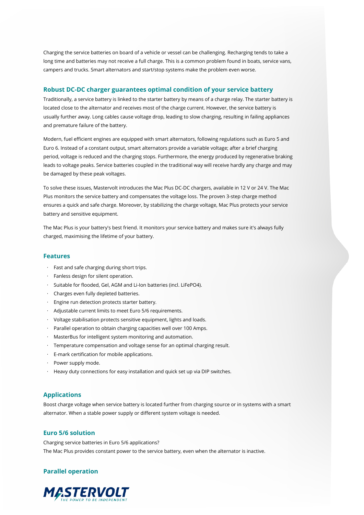Charging the service batteries on board of a vehicle or vessel can be challenging. Recharging tends to take a long time and batteries may not receive a full charge. This is a common problem found in boats, service vans, campers and trucks. Smart alternators and start/stop systems make the problem even worse.

#### **Robust DC-DC charger guarantees optimal condition of your service battery**

Traditionally, a service battery is linked to the starter battery by means of a charge relay. The starter battery is located close to the alternator and receives most of the charge current. However, the service battery is usually further away. Long cables cause voltage drop, leading to slow charging, resulting in failing appliances and premature failure of the battery.

Modern, fuel efficient engines are equipped with smart alternators, following regulations such as Euro 5 and Euro 6. Instead of a constant output, smart alternators provide a variable voltage; after a brief charging period, voltage is reduced and the charging stops. Furthermore, the energy produced by regenerative braking leads to voltage peaks. Service batteries coupled in the traditional way will receive hardly any charge and may be damaged by these peak voltages.

To solve these issues, Mastervolt introduces the Mac Plus DC-DC chargers, available in 12 V or 24 V. The Mac Plus monitors the service battery and compensates the voltage loss. The proven 3-step charge method ensures a quick and safe charge. Moreover, by stabilizing the charge voltage, Mac Plus protects your service battery and sensitive equipment.

The Mac Plus is your battery's best friend. It monitors your service battery and makes sure it's always fully charged, maximising the lifetime of your battery.

#### **Features**

- · Fast and safe charging during short trips.
- · Fanless design for silent operation.
- · Suitable for flooded, Gel, AGM and Li-Ion batteries (incl. LiFePO4).
- · Charges even fully depleted batteries.
- · Engine run detection protects starter battery.
- · Adjustable current limits to meet Euro 5/6 requirements.
- · Voltage stabilisation protects sensitive equipment, lights and loads.
- · Parallel operation to obtain charging capacities well over 100 Amps.
- · MasterBus for intelligent system monitoring and automation.
- · Temperature compensation and voltage sense for an optimal charging result.
- · E-mark certification for mobile applications.
- · Power supply mode.
- · Heavy duty connections for easy installation and quick set up via DIP switches.

#### **Applications**

Boost charge voltage when service battery is located further from charging source or in systems with a smart alternator. When a stable power supply or different system voltage is needed.

#### **Euro 5/6 solution**

Charging service batteries in Euro 5/6 applications? The Mac Plus provides constant power to the service battery, even when the alternator is inactive.

## **Parallel operation**

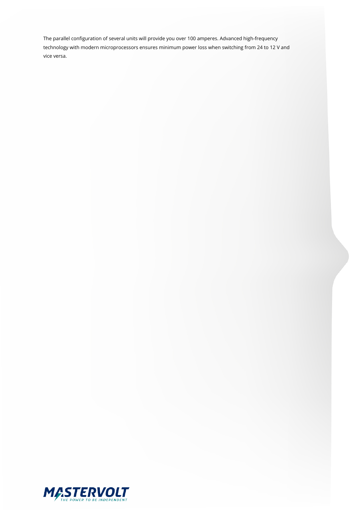The parallel configuration of several units will provide you over 100 amperes. Advanced high-frequency technology with modern microprocessors ensures minimum power loss when switching from 24 to 12 V and vice versa.